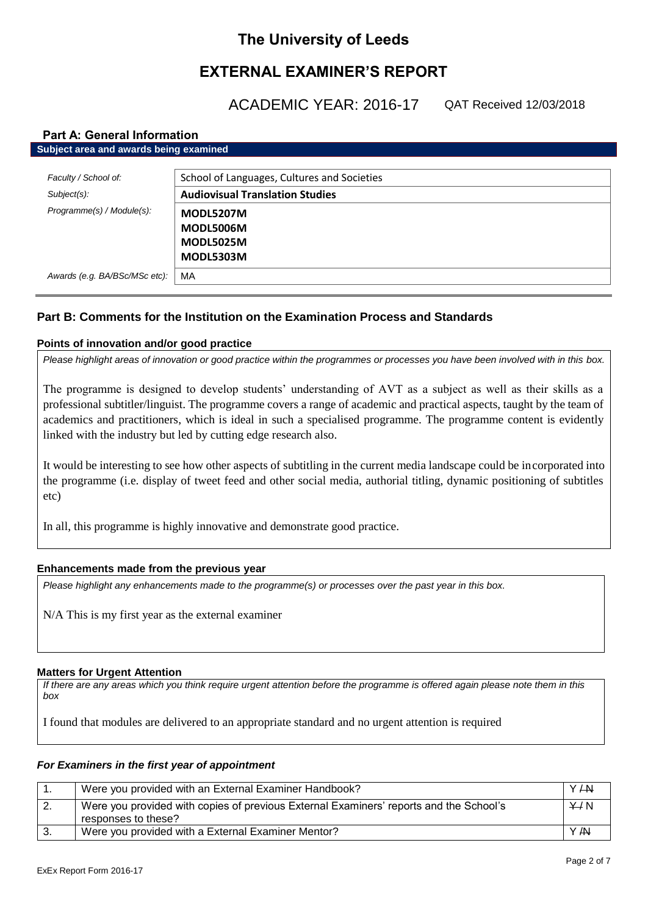# **The University of Leeds**

# **EXTERNAL EXAMINER'S REPORT**

ACADEMIC YEAR: 2016-17

QAT Received 12/03/2018

### **Part A: General Information**

| Subject area and awards being examined |                                             |  |
|----------------------------------------|---------------------------------------------|--|
|                                        |                                             |  |
| Faculty / School of:                   | School of Languages, Cultures and Societies |  |
| $Subject(s)$ :                         | <b>Audiovisual Translation Studies</b>      |  |
| Programme(s) / Module(s):              | <b>MODL5207M</b>                            |  |
|                                        | MODL5006M                                   |  |
|                                        | <b>MODL5025M</b>                            |  |
|                                        | <b>MODL5303M</b>                            |  |
| Awards (e.g. BA/BSc/MSc etc):          | MA                                          |  |

## **Part B: Comments for the Institution on the Examination Process and Standards**

### **Points of innovation and/or good practice**

*Please highlight areas of innovation or good practice within the programmes or processes you have been involved with in this box.*

The programme is designed to develop students' understanding of AVT as a subject as well as their skills as a professional subtitler/linguist. The programme covers a range of academic and practical aspects, taught by the team of academics and practitioners, which is ideal in such a specialised programme. The programme content is evidently linked with the industry but led by cutting edge research also.

It would be interesting to see how other aspects of subtitling in the current media landscape could be incorporated into the programme (i.e. display of tweet feed and other social media, authorial titling, dynamic positioning of subtitles etc)

In all, this programme is highly innovative and demonstrate good practice.

### **Enhancements made from the previous year**

*Please highlight any enhancements made to the programme(s) or processes over the past year in this box.*

N/A This is my first year as the external examiner

#### **Matters for Urgent Attention**

*If there are any areas which you think require urgent attention before the programme is offered again please note them in this box*

I found that modules are delivered to an appropriate standard and no urgent attention is required

### *For Examiners in the first year of appointment*

|    | Were you provided with an External Examiner Handbook?                                                         | $Y + W$ |
|----|---------------------------------------------------------------------------------------------------------------|---------|
| 2. | Were you provided with copies of previous External Examiners' reports and the School's<br>responses to these? | Y/N     |
|    | Were you provided with a External Examiner Mentor?                                                            | Y /N    |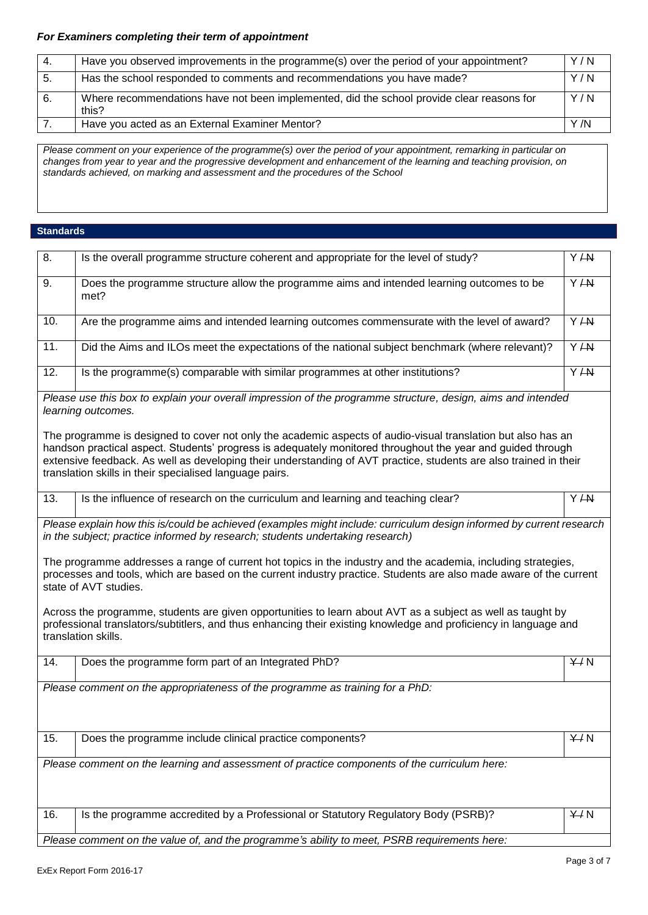### *For Examiners completing their term of appointment*

| 4. | Have you observed improvements in the programme(s) over the period of your appointment?            | Y/N  |
|----|----------------------------------------------------------------------------------------------------|------|
| 5. | Has the school responded to comments and recommendations you have made?                            | Y/N  |
| 6. | Where recommendations have not been implemented, did the school provide clear reasons for<br>this? | Y/N  |
|    | Have you acted as an External Examiner Mentor?                                                     | Y /N |

*Please comment on your experience of the programme(s) over the period of your appointment, remarking in particular on changes from year to year and the progressive development and enhancement of the learning and teaching provision, on standards achieved, on marking and assessment and the procedures of the School*

#### **Standards**

| 8.  | Is the overall programme structure coherent and appropriate for the level of study?                                                                                                                                                                                                                                                                                                                         | Y AN    |
|-----|-------------------------------------------------------------------------------------------------------------------------------------------------------------------------------------------------------------------------------------------------------------------------------------------------------------------------------------------------------------------------------------------------------------|---------|
| 9.  | Does the programme structure allow the programme aims and intended learning outcomes to be<br>met?                                                                                                                                                                                                                                                                                                          | Y/AY    |
| 10. | Are the programme aims and intended learning outcomes commensurate with the level of award?                                                                                                                                                                                                                                                                                                                 | $Y + W$ |
| 11. | Did the Aims and ILOs meet the expectations of the national subject benchmark (where relevant)?                                                                                                                                                                                                                                                                                                             | Y/AY    |
| 12. | Is the programme(s) comparable with similar programmes at other institutions?                                                                                                                                                                                                                                                                                                                               | $Y + N$ |
|     | Please use this box to explain your overall impression of the programme structure, design, aims and intended<br>learning outcomes.                                                                                                                                                                                                                                                                          |         |
|     | The programme is designed to cover not only the academic aspects of audio-visual translation but also has an<br>handson practical aspect. Students' progress is adequately monitored throughout the year and guided through<br>extensive feedback. As well as developing their understanding of AVT practice, students are also trained in their<br>translation skills in their specialised language pairs. |         |
| 13. | Is the influence of research on the curriculum and learning and teaching clear?                                                                                                                                                                                                                                                                                                                             | Y/ H    |
|     | Please explain how this is/could be achieved (examples might include: curriculum design informed by current research<br>in the subject; practice informed by research; students undertaking research)                                                                                                                                                                                                       |         |
|     | The programme addresses a range of current hot topics in the industry and the academia, including strategies,<br>processes and tools, which are based on the current industry practice. Students are also made aware of the current<br>state of AVT studies.                                                                                                                                                |         |
|     | Across the programme, students are given opportunities to learn about AVT as a subject as well as taught by<br>professional translators/subtitlers, and thus enhancing their existing knowledge and proficiency in language and<br>translation skills.                                                                                                                                                      |         |
| 14. | Does the programme form part of an Integrated PhD?                                                                                                                                                                                                                                                                                                                                                          | Y/N     |
|     | Please comment on the appropriateness of the programme as training for a PhD:                                                                                                                                                                                                                                                                                                                               |         |
| 15. | Does the programme include clinical practice components?                                                                                                                                                                                                                                                                                                                                                    | Y/N     |
|     | Please comment on the learning and assessment of practice components of the curriculum here:                                                                                                                                                                                                                                                                                                                |         |
| 16. | Is the programme accredited by a Professional or Statutory Regulatory Body (PSRB)?                                                                                                                                                                                                                                                                                                                          | Y/N     |
|     | Please comment on the value of, and the programme's ability to meet, PSRB requirements here:                                                                                                                                                                                                                                                                                                                |         |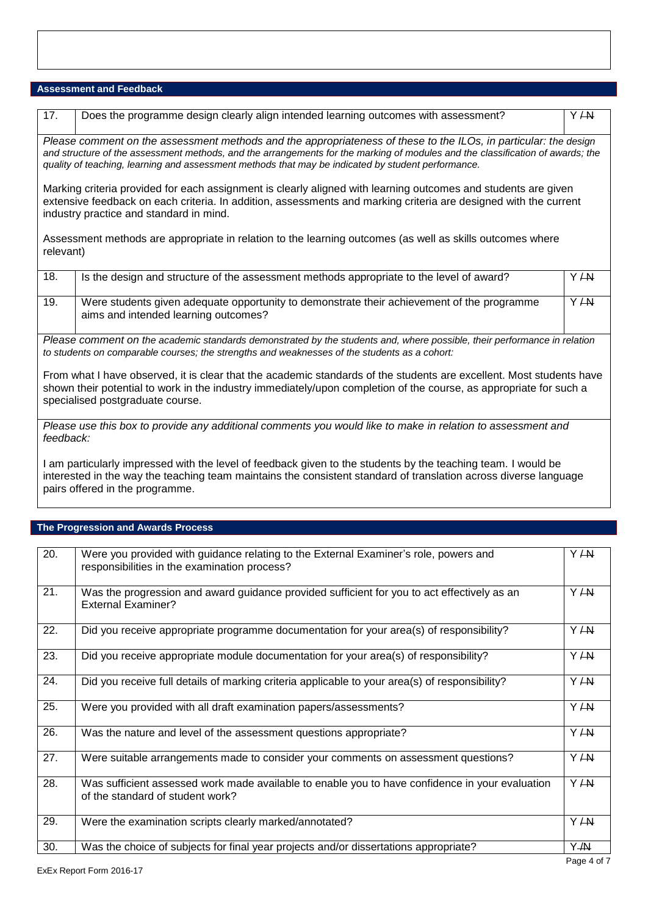#### **Assessment and Feedback**

| 17.                                                                                                                                                                                                                                                                                                                                                      | Does the programme design clearly align intended learning outcomes with assessment?                                                                                                                                                                                            | Y AN |  |
|----------------------------------------------------------------------------------------------------------------------------------------------------------------------------------------------------------------------------------------------------------------------------------------------------------------------------------------------------------|--------------------------------------------------------------------------------------------------------------------------------------------------------------------------------------------------------------------------------------------------------------------------------|------|--|
| Please comment on the assessment methods and the appropriateness of these to the ILOs, in particular: the design<br>and structure of the assessment methods, and the arrangements for the marking of modules and the classification of awards; the<br>quality of teaching, learning and assessment methods that may be indicated by student performance. |                                                                                                                                                                                                                                                                                |      |  |
| Marking criteria provided for each assignment is clearly aligned with learning outcomes and students are given<br>extensive feedback on each criteria. In addition, assessments and marking criteria are designed with the current<br>industry practice and standard in mind.                                                                            |                                                                                                                                                                                                                                                                                |      |  |
| Assessment methods are appropriate in relation to the learning outcomes (as well as skills outcomes where<br>relevant)                                                                                                                                                                                                                                   |                                                                                                                                                                                                                                                                                |      |  |
| 18.                                                                                                                                                                                                                                                                                                                                                      | Is the design and structure of the assessment methods appropriate to the level of award?                                                                                                                                                                                       | Y AN |  |
| 19.                                                                                                                                                                                                                                                                                                                                                      | Were students given adequate opportunity to demonstrate their achievement of the programme<br>aims and intended learning outcomes?                                                                                                                                             | Y/AY |  |
| Please comment on the academic standards demonstrated by the students and, where possible, their performance in relation<br>to students on comparable courses; the strengths and weaknesses of the students as a cohort:                                                                                                                                 |                                                                                                                                                                                                                                                                                |      |  |
|                                                                                                                                                                                                                                                                                                                                                          | From what I have observed, it is clear that the academic standards of the students are excellent. Most students have<br>shown their potential to work in the industry immediately/upon completion of the course, as appropriate for such a<br>specialised postgraduate course. |      |  |
| Please use this box to provide any additional comments you would like to make in relation to assessment and<br>feedback:                                                                                                                                                                                                                                 |                                                                                                                                                                                                                                                                                |      |  |
|                                                                                                                                                                                                                                                                                                                                                          | am particularly impressed with the level of feedback given to the students by the teaching team I would be                                                                                                                                                                     |      |  |

I am particularly impressed with the level of feedback given to the students by the teaching team. I would be interested in the way the teaching team maintains the consistent standard of translation across diverse language pairs offered in the programme.

# **The Progression and Awards Process**

| $\overline{20}$ . | Were you provided with guidance relating to the External Examiner's role, powers and<br>responsibilities in the examination process? | Y AN |
|-------------------|--------------------------------------------------------------------------------------------------------------------------------------|------|
| 21.               | Was the progression and award guidance provided sufficient for you to act effectively as an<br><b>External Examiner?</b>             | Y AN |
| 22.               | Did you receive appropriate programme documentation for your area(s) of responsibility?                                              | Y AN |
| 23.               | Did you receive appropriate module documentation for your area(s) of responsibility?                                                 | Y AN |
| 24.               | Did you receive full details of marking criteria applicable to your area(s) of responsibility?                                       | Y AN |
| 25.               | Were you provided with all draft examination papers/assessments?                                                                     | Y AN |
| 26.               | Was the nature and level of the assessment questions appropriate?                                                                    | Y AN |
| 27.               | Were suitable arrangements made to consider your comments on assessment questions?                                                   | Y AN |
| 28.               | Was sufficient assessed work made available to enable you to have confidence in your evaluation<br>of the standard of student work?  | Y AN |
| 29.               | Were the examination scripts clearly marked/annotated?                                                                               | Y AN |
| 30.               | Was the choice of subjects for final year projects and/or dissertations appropriate?                                                 | Y /N |